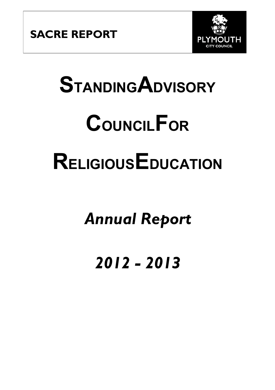

# **STANDINGADVISORY COUNCILFOR RELIGIOUSEDUCATION**

# *Annual Report*

# *2012 - 2013*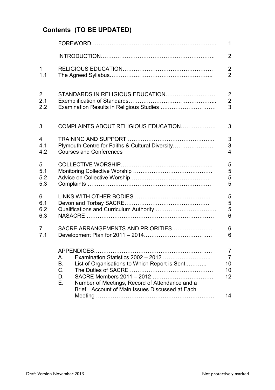## **Contents (TO BE UPDATED)**

|                |                                                                                                                                                                                                                       | $\mathbf{1}$                                |  |  |  |  |
|----------------|-----------------------------------------------------------------------------------------------------------------------------------------------------------------------------------------------------------------------|---------------------------------------------|--|--|--|--|
|                |                                                                                                                                                                                                                       | $\overline{2}$                              |  |  |  |  |
| $\mathbf{1}$   |                                                                                                                                                                                                                       | $\overline{2}$                              |  |  |  |  |
| 1.1            |                                                                                                                                                                                                                       | $\overline{2}$                              |  |  |  |  |
| $\overline{2}$ | STANDARDS IN RELIGIOUS EDUCATION                                                                                                                                                                                      | $\overline{2}$                              |  |  |  |  |
| 2.1            |                                                                                                                                                                                                                       | $\overline{2}$                              |  |  |  |  |
| 2.2            | Examination Results in Religious Studies                                                                                                                                                                              | 3                                           |  |  |  |  |
| 3              | COMPLAINTS ABOUT RELIGIOUS EDUCATION                                                                                                                                                                                  | 3                                           |  |  |  |  |
| 4              |                                                                                                                                                                                                                       |                                             |  |  |  |  |
| 4.1            | Plymouth Centre for Faiths & Cultural Diversity                                                                                                                                                                       |                                             |  |  |  |  |
| 4.2            | <b>Courses and Conferences</b>                                                                                                                                                                                        |                                             |  |  |  |  |
| 5              |                                                                                                                                                                                                                       | 5                                           |  |  |  |  |
| 5.1            |                                                                                                                                                                                                                       | 5                                           |  |  |  |  |
| 5.2            |                                                                                                                                                                                                                       | 5                                           |  |  |  |  |
| 5.3            |                                                                                                                                                                                                                       | 5                                           |  |  |  |  |
| 6              |                                                                                                                                                                                                                       | 5                                           |  |  |  |  |
| 6.1            |                                                                                                                                                                                                                       | 5                                           |  |  |  |  |
| 6.2            |                                                                                                                                                                                                                       | 5                                           |  |  |  |  |
| 6.3            |                                                                                                                                                                                                                       | $6\phantom{a}$                              |  |  |  |  |
| 7              | SACRE ARRANGEMENTS AND PRIORITIES                                                                                                                                                                                     | 6                                           |  |  |  |  |
| 7.1            |                                                                                                                                                                                                                       | 6                                           |  |  |  |  |
|                | Examination Statistics 2002 - 2012<br>Α.<br>B.<br>List of Organisations to Which Report is Sent<br>C.<br>D.<br>Е.<br>Number of Meetings, Record of Attendance and a<br>Brief Account of Main Issues Discussed at Each | 7<br>$\overline{7}$<br>10<br>10<br>12<br>14 |  |  |  |  |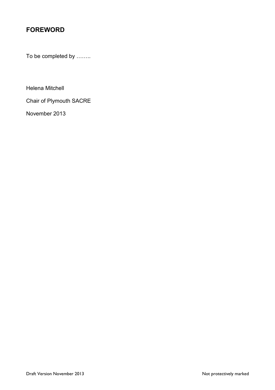### **FOREWORD**

To be completed by ……..

Helena Mitchell

Chair of Plymouth SACRE

November 2013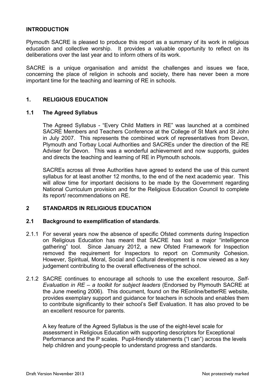#### **INTRODUCTION**

Plymouth SACRE is pleased to produce this report as a summary of its work in religious education and collective worship. It provides a valuable opportunity to reflect on its deliberations over the last year and to inform others of its work.

SACRE is a unique organisation and amidst the challenges and issues we face, concerning the place of religion in schools and society, there has never been a more important time for the teaching and learning of RE in schools.

#### **1. RELIGIOUS EDUCATION**

#### **1.1 The Agreed Syllabus**

The Agreed Syllabus - "Every Child Matters in RE" was launched at a combined SACRE Members and Teachers Conference at the College of St Mark and St John in July 2007. This represents the combined work of representatives from Devon, Plymouth and Torbay Local Authorities and SACREs under the direction of the RE Adviser for Devon. This was a wonderful achievement and now supports, guides and directs the teaching and learning of RE in Plymouth schools.

SACREs across all three Authorities have agreed to extend the use of this current syllabus for at least another 12 months, to the end of the next academic year. This will allow time for important decisions to be made by the Government regarding National Curriculum provision and for the Religious Education Council to complete its report/ recommendations on RE.

#### **2 STANDARDS IN RELIGIOUS EDUCATION**

#### **2.1 Background to exemplification of standards**.

- 2.1.1 For several years now the absence of specific Ofsted comments during Inspection on Religious Education has meant that SACRE has lost a major "intelligence gathering" tool. Since January 2012, a new Ofsted Framework for Inspection removed the requirement for Inspectors to report on Community Cohesion. However, Spiritual, Moral, Social and Cultural development is now viewed as a key judgement contributing to the overall effectiveness of the school.
- 2.1.2 SACRE continues to encourage all schools to use the excellent resource, *Self-Evaluation in RE – a toolkit for subject leaders* (Endorsed by Plymouth SACRE at the June meeting 2006). This document, found on the REonline/betterRE website, provides exemplary support and guidance for teachers in schools and enables them to contribute significantly to their school's Self Evaluation. It has also proved to be an excellent resource for parents.

A key feature of the Agreed Syllabus is the use of the eight-level scale for assessment in Religious Education with supporting descriptors for Exceptional Performance and the P scales. Pupil-friendly statements ("I can") across the levels help children and young-people to understand progress and standards.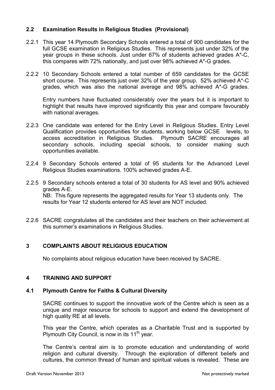#### **2.2 Examination Results in Religious Studies (Provisional)**

- 2.2.1 This year 14 Plymouth Secondary Schools entered a total of 900 candidates for the full GCSE examination in Religious Studies. This represents just under 32% of the year groups in these schools. Just under 67% of students achieved grades A\*-C, this compares with 72% nationally, and just over 98% achieved A\*-G grades.
- 2.2.2 10 Secondary Schools entered a total number of 659 candidates for the GCSE short course. This represents just over 32% of the year group. 52% achieved A\*-C grades, which was also the national average and 98% achieved A\*-G grades.

Entry numbers have fluctuated considerably over the years but it is important to highlight that results have improved significantly this year and compare favourably with national averages.

- 2.2.3 One candidate was entered for the Entry Level in Religious Studies. Entry Level Qualification provides opportunities for students, working below GCSE levels, to access accreditation in Religious Studies. Plymouth SACRE encourages all secondary schools, including special schools, to consider making such opportunities available.
- 2.2.4 9 Secondary Schools entered a total of 95 students for the Advanced Level Religious Studies examinations. 100% achieved grades A-E.
- 2.2.5 9 Secondary schools entered a total of 30 students for AS level and 90% achieved grades A-E. NB: This figure represents the aggregated results for Year 13 students only. The results for Year 12 students entered for AS level are NOT included.
- 2.2.6 SACRE congratulates all the candidates and their teachers on their achievement at this summer's examinations in Religious Studies.

#### **3 COMPLAINTS ABOUT RELIGIOUS EDUCATION**

No complaints about religious education have been received by SACRE.

#### **4 TRAINING AND SUPPORT**

#### **4.1 Plymouth Centre for Faiths & Cultural Diversity**

SACRE continues to support the innovative work of the Centre which is seen as a unique and major resource for schools to support and extend the development of high quality RE at all levels.

This year the Centre, which operates as a Charitable Trust and is supported by Plymouth City Council, is now in its  $11<sup>th</sup>$  year.

The Centre's central aim is to promote education and understanding of world religion and cultural diversity. Through the exploration of different beliefs and cultures, the common thread of human and spiritual values is revealed. These are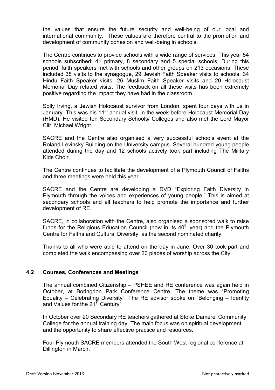the values that ensure the future security and well-being of our local and international community. These values are therefore central to the promotion and development of community cohesion and well-being in schools.

The Centre continues to provide schools with a wide range of services. This year 54 schools subscribed; 41 primary, 8 secondary and 5 special schools. During this period, faith speakers met with schools and other groups on 213 occasions. These included 38 visits to the synagogue, 29 Jewish Faith Speaker visits to schools, 34 Hindu Faith Speaker visits, 26 Muslim Faith Speaker visits and 20 Holocaust Memorial Day related visits. The feedback on all these visits has been extremely positive regarding the impact they have had in the classroom.

Solly Irving, a Jewish Holocaust survivor from London, spent four days with us in January. This was his 11<sup>th</sup> annual visit, in the week before Holocaust Memorial Day (HMD). He visited ten Secondary Schools/ Colleges and also met the Lord Mayor Cllr. Michael Wright.

SACRE and the Centre also organised a very successful schools event at the Roland Levinsky Building on the University campus. Several hundred young people attended during the day and 12 schools actively took part including The Military Kids Choir.

The Centre continues to facilitate the development of a Plymouth Council of Faiths and three meetings were held this year.

SACRE and the Centre are developing a DVD "Exploring Faith Diversity in Plymouth through the voices and experiences of young people." This is aimed at secondary schools and all teachers to help promote the importance and further development of RE.

SACRE, in collaboration with the Centre, also organised a sponsored walk to raise funds for the Religious Education Council (now in its  $40<sup>th</sup>$  year) and the Plymouth Centre for Faiths and Cultural Diversity, as the second nominated charity.

Thanks to all who were able to attend on the day in June. Over 30 took part and completed the walk encompassing over 20 places of worship across the City.

#### **4.2 Courses, Conferences and Meetings**

The annual combined Citizenship – PSHEE and RE conference was again held in October, at Boringdon Park Conference Centre. The theme was "Promoting Equality – Celebrating Diversity". The RE advisor spoke on "Belonging – Identity and Values for the 21<sup>st</sup> Century<sup>"</sup>.

In October over 20 Secondary RE teachers gathered at Stoke Damerel Community College for the annual training day. The main focus was on spiritual development and the opportunity to share effective practice and resources.

Four Plymouth SACRE members attended the South West regional conference at Dillington in March.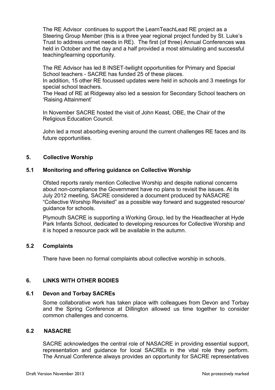The RE Advisor continues to support the LearnTeachLead RE project as a Steering Group Member (this is a three year regional project funded by St. Luke's Trust to address unmet needs in RE). The first (of three) Annual Conferences was held in October and the day and a half provided a most stimulating and successful teaching/learning opportunity.

The RE Advisor has led 8 INSET-twilight opportunities for Primary and Special School teachers - SACRE has funded 25 of these places.

In addition, 15 other RE focussed updates were held in schools and 3 meetings for special school teachers.

The Head of RE at Ridgeway also led a session for Secondary School teachers on 'Raising Attainment'

In November SACRE hosted the visit of John Keast, OBE, the Chair of the Religious Education Council.

John led a most absorbing evening around the current challenges RE faces and its future opportunities.

#### **5. Collective Worship**

#### **5.1 Monitoring and offering guidance on Collective Worship**

Ofsted reports rarely mention Collective Worship and despite national concerns about non-compliance the Government have no plans to revisit the issues. At its July 2012 meeting, SACRE considered a document produced by NASACRE "Collective Worship Revisited" as a possible way forward and suggested resource/ guidance for schools.

Plymouth SACRE is supporting a Working Group, led by the Headteacher at Hyde Park Infants School, dedicated to developing resources for Collective Worship and it is hoped a resource pack will be available in the autumn.

#### **5.2 Complaints**

There have been no formal complaints about collective worship in schools.

#### **6. LINKS WITH OTHER BODIES**

#### **6.1 Devon and Torbay SACREs**

Some collaborative work has taken place with colleagues from Devon and Torbay and the Spring Conference at Dillington allowed us time together to consider common challenges and concerns.

#### **6.2 NASACRE**

SACRE acknowledges the central role of NASACRE in providing essential support, representation and guidance for local SACREs in the vital role they perform. The Annual Conference always provides an opportunity for SACRE representatives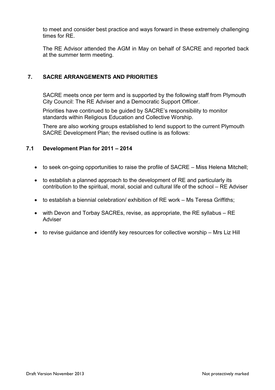to meet and consider best practice and ways forward in these extremely challenging times for RE.

The RE Advisor attended the AGM in May on behalf of SACRE and reported back at the summer term meeting.

#### **7. SACRE ARRANGEMENTS AND PRIORITIES**

SACRE meets once per term and is supported by the following staff from Plymouth City Council: The RE Adviser and a Democratic Support Officer.

Priorities have continued to be guided by SACRE's responsibility to monitor standards within Religious Education and Collective Worship.

There are also working groups established to lend support to the current Plymouth SACRE Development Plan; the revised outline is as follows:

#### **7.1 Development Plan for 2011 – 2014**

- to seek on-going opportunities to raise the profile of SACRE Miss Helena Mitchell;
- to establish a planned approach to the development of RE and particularly its contribution to the spiritual, moral, social and cultural life of the school – RE Adviser
- to establish a biennial celebration/ exhibition of RE work Ms Teresa Griffiths;
- with Devon and Torbay SACREs, revise, as appropriate, the RE syllabus RE Adviser
- to revise guidance and identify key resources for collective worship Mrs Liz Hill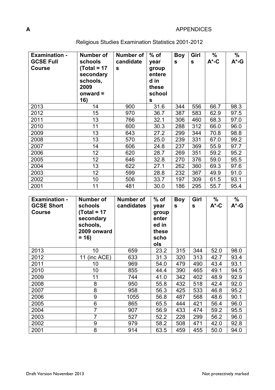#### **A** APPENDICES

| <b>Examination -</b><br><b>GCSE Full</b><br><b>Course</b> | Number of<br>schools<br>$Total = 17$<br>secondary<br>schools,<br>2009<br>onward $=$<br>16) | Number of<br>candidate<br>$\mathbf{s}$ | $%$ of<br>year<br>group<br>entere<br>d in<br>these<br>school<br>S | <b>Boy</b><br>S | Girl<br>$\mathbf{s}$ | $\%$<br>$A^*$ -C | %<br>$A^*$ -G |
|-----------------------------------------------------------|--------------------------------------------------------------------------------------------|----------------------------------------|-------------------------------------------------------------------|-----------------|----------------------|------------------|---------------|
| 2013                                                      | 14                                                                                         | 900                                    | 31.6                                                              | 344             | 556                  | 66.7             | 98.3          |
| 2012                                                      | 15                                                                                         | 970                                    | 36.7                                                              | 387             | 583                  | 62.9             | 97.5          |
| 2011                                                      | 13                                                                                         | 766                                    | 32.1                                                              | 306             | 460                  | 68.3             | 97.0          |
| 2010                                                      | 11                                                                                         | 600                                    | 30.3                                                              | 288             | 312                  | 66.0             | 96.0          |
| 2009                                                      | 13                                                                                         | 643                                    | 27.2                                                              | 299             | 344                  | 70.8             | 98.8          |
| 2008                                                      | 13                                                                                         | 570                                    | 25.0                                                              | 239             | 331                  | 67.0             | 99.2          |
| 2007                                                      | 14                                                                                         | 606                                    | 24.8                                                              | 237             | 369                  | 55.9             | 97.7          |
| 2006                                                      | 12                                                                                         | 620                                    | 28.7                                                              | 269             | 351                  | 59.2             | 95.2          |
| 2005                                                      | 12                                                                                         | 646                                    | 32.8                                                              | 270             | 376                  | 59.0             | 95.5          |
| 2004                                                      | 13                                                                                         | 622                                    | 27.1                                                              | 262             | 360                  | 69.3             | 97.6          |
| 2003                                                      | 12                                                                                         | 599                                    | 28.8                                                              | 232             | 367                  | 49.9             | 91.0          |
| 2002                                                      | 10                                                                                         | 506                                    | 33.7                                                              | 197             | 309                  | 61.5             | 93.1          |
| 2001                                                      | 11                                                                                         | 481                                    | 30.0                                                              | 186             | 295                  | 55.7             | 95.4          |

### Religious Studies Examination Statistics 2001-2012

| <b>Examination -</b><br><b>GCSE Short</b><br><b>Course</b> | Number of<br>schools<br>$Total = 17$<br>secondary<br>schools,<br>2009 onward<br>$= 16$ | Number of<br>candidates | $%$ of<br>year<br>group<br>enter<br>ed in<br>these<br>scho<br>ols | <b>Boy</b><br>S | Girl<br>S | $\%$<br>$A^*$ -C | %<br>$A^*$ -G |
|------------------------------------------------------------|----------------------------------------------------------------------------------------|-------------------------|-------------------------------------------------------------------|-----------------|-----------|------------------|---------------|
| 2013                                                       | 10                                                                                     | 659                     | 23.2                                                              | 315             | 344       | 52.0             | 98.0          |
| 2012                                                       | (inc ACE)<br>11                                                                        | 633                     | 31.3                                                              | 320             | 313       | 42.7             | 93.4          |
| 2011                                                       | 10                                                                                     | 969                     | 54.0                                                              | 479             | 490       | 43.4             | 93.1          |
| 2010                                                       | 10                                                                                     | 855                     | 44.4                                                              | 390             | 465       | 49.1             | 94.5          |
| 2009                                                       | 11                                                                                     | 744                     | 41.0                                                              | 342             | 402       | 48.9             | 92.9          |
| 2008                                                       | 8                                                                                      | 950                     | 55.8                                                              | 432             | 518       | 42.4             | 92.0          |
| 2007                                                       | 8                                                                                      | 958                     | 56.3                                                              | 425             | 533       | 46.8             | 95.2          |
| 2006                                                       | 9                                                                                      | 1055                    | 56.8                                                              | 487             | 568       | 48.6             | 90.1          |
| 2005                                                       | 6                                                                                      | 865                     | 65.5                                                              | 444             | 421       | 56.4             | 96.0          |
| 2004                                                       | $\overline{7}$                                                                         | 907                     | 56.9                                                              | 433             | 474       | 59.2             | 95.5          |
| 2003                                                       | $\overline{7}$                                                                         | 527                     | 52.2                                                              | 228             | 299       | 56.2             | 96.0          |
| 2002                                                       | 9                                                                                      | 979                     | 58.2                                                              | 508             | 471       | 42.0             | 92.8          |
| 2001                                                       | 8                                                                                      | 914                     | 63.5                                                              | 459             | 455       | 50.0             | 94.0          |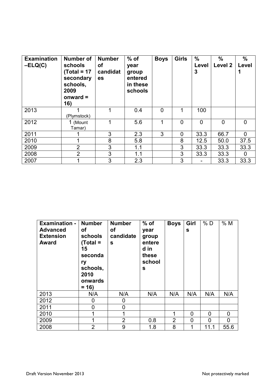| <b>Examination</b><br>$-ELQ(C)$ | <b>Number of</b><br>schools<br>$Total = 17$<br>secondary<br>schools,<br>2009<br>onward $=$<br>16) | <b>Number</b><br>οf<br>candidat<br>es | $%$ of<br>year<br>group<br>entered<br>in these<br>schools | <b>Boys</b> | <b>Girls</b> | $\frac{0}{0}$<br>Level<br>3 | $\%$<br>Level 2 | $\%$<br>Level<br>1 |
|---------------------------------|---------------------------------------------------------------------------------------------------|---------------------------------------|-----------------------------------------------------------|-------------|--------------|-----------------------------|-----------------|--------------------|
| 2013                            | (Plymstock)                                                                                       |                                       | 0.4                                                       | $\Omega$    |              | 100                         |                 |                    |
| 2012                            | 1 (Mount<br>Tamar)                                                                                |                                       | 5.6                                                       |             | $\Omega$     | $\Omega$                    | $\overline{0}$  | $\Omega$           |
| 2011                            |                                                                                                   | 3                                     | 2.3                                                       | 3           | $\mathbf 0$  | 33.3                        | 66.7            | $\Omega$           |
| 2010                            |                                                                                                   | 8                                     | 5.8                                                       |             | 8            | 12.5                        | 50.0            | 37.5               |
| 2009                            | $\overline{2}$                                                                                    | 3                                     | 1.1                                                       |             | 3            | 33.3                        | 33.3            | 33.3               |
| 2008                            | $\overline{2}$                                                                                    | 3                                     | 1.1                                                       |             | 3            | 33.3                        | 33.3            | 0                  |
| 2007                            |                                                                                                   | 3                                     | 2.3                                                       |             | 3            |                             | 33.3            | 33.3               |

| <b>Examination -</b><br><b>Advanced</b><br><b>Extension</b><br><b>Award</b> | <b>Number</b><br>оf<br>schools<br>(Total =<br>15<br>seconda<br>ry<br>schools,<br>2010<br>onwards<br>$= 16$ | <b>Number</b><br><b>of</b><br>candidate<br>$\mathbf{s}$ | $%$ of<br>year<br>group<br>entere<br>d in<br>these<br>school<br>S | <b>Boys</b>    | Girl<br>S | %D   | %M   |
|-----------------------------------------------------------------------------|------------------------------------------------------------------------------------------------------------|---------------------------------------------------------|-------------------------------------------------------------------|----------------|-----------|------|------|
| 2013                                                                        | N/A                                                                                                        | N/A                                                     | N/A                                                               | N/A            | N/A       | N/A  | N/A  |
| 2012                                                                        | 0                                                                                                          | 0                                                       |                                                                   |                |           |      |      |
| 2011                                                                        | 0                                                                                                          | 0                                                       |                                                                   |                |           |      |      |
| 2010                                                                        |                                                                                                            | 1                                                       |                                                                   | 1              | 0         | 0    | 0    |
| 2009                                                                        |                                                                                                            | $\overline{2}$                                          | 0.8                                                               | $\overline{2}$ | 0         | 0    | 0    |
| 2008                                                                        | $\overline{2}$                                                                                             | 9                                                       | 1.8                                                               | 8              | 1         | 11.1 | 55.6 |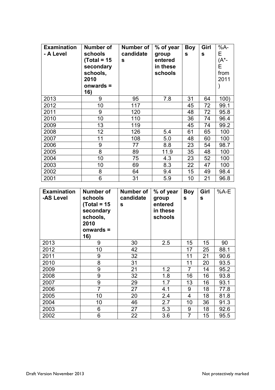| <b>Examination</b><br>- A Level | Number of<br>schools<br>(Total = 15<br>secondary<br>schools,<br>2010<br>onwards =<br>16) | Number of<br>candidate<br>S | % of year<br>group<br>entered<br>in these<br>schools | <b>Boy</b><br>S | Girl<br>S | %A-<br>Е<br>(A <sup>*</sup> -<br>Е<br>from<br>2011 |
|---------------------------------|------------------------------------------------------------------------------------------|-----------------------------|------------------------------------------------------|-----------------|-----------|----------------------------------------------------|
| 2013                            | 9                                                                                        | 95                          | 7.8                                                  | 31              | 64        | 100)                                               |
| 2012                            | 10                                                                                       | 117                         |                                                      | 45              | 72        | 99.1                                               |
| 2011                            | 9                                                                                        | 120                         |                                                      | 48              | 72        | 95.8                                               |
| 2010                            | 10                                                                                       | 110                         |                                                      | 36              | 74        | 96.4                                               |
| 2009                            | 13                                                                                       | 119                         |                                                      | 45              | 74        | 99.2                                               |
| 2008                            | 12                                                                                       | 126                         | 5.4                                                  | 61              | 65        | 100                                                |
| 2007                            | 11                                                                                       | 108                         | 5.0                                                  | 48              | 60        | 100                                                |
| 2006                            | 9                                                                                        | 77                          | 8.8                                                  | 23              | 54        | 98.7                                               |
| 2005                            | 8                                                                                        | 89                          | 11.9                                                 | 35              | 48        | 100                                                |
| 2004                            | 10                                                                                       | 75                          | 4.3                                                  | 23              | 52        | 100                                                |
| 2003                            | 10                                                                                       | 69                          | 8.3                                                  | 22              | 47        | 100                                                |
| 2002                            | 8                                                                                        | 64                          | 9.4                                                  | 15              | 49        | 98.4                                               |
| 2001                            | 6                                                                                        | 31                          | 5.9                                                  | 10              | 21        | 96.8                                               |

| <b>Examination</b><br>-AS Level | Number of<br>schools<br>(Total = 15<br>secondary<br>schools,<br>2010<br>onwards $=$<br>16) | Number of<br>candidate<br>S | % of year<br>group<br>entered<br>in these<br>schools | <b>Boy</b><br>S | Girl<br>$\mathbf{s}$ | %A-E |
|---------------------------------|--------------------------------------------------------------------------------------------|-----------------------------|------------------------------------------------------|-----------------|----------------------|------|
| 2013                            | 9                                                                                          | 30                          | 2.5                                                  | 15              | 15                   | 90   |
| 2012                            | 10                                                                                         | 42                          |                                                      | 17              | 25                   | 88.1 |
| 2011                            | 9                                                                                          | 32                          |                                                      | 11              | 21                   | 90.6 |
| 2010                            | 8                                                                                          | 31                          |                                                      | 11              | 20                   | 93.5 |
| 2009                            | 9                                                                                          | 21                          | 1.2                                                  | $\overline{7}$  | 14                   | 95.2 |
| 2008                            | 9                                                                                          | 32                          | 1.8                                                  | 16              | 16                   | 93.8 |
| 2007                            | 9                                                                                          | 29                          | 1.7                                                  | 13              | 16                   | 93.1 |
| 2006                            | $\overline{7}$                                                                             | 27                          | 4.1                                                  | 9               | 18                   | 77.8 |
| 2005                            | 10                                                                                         | 20                          | 2.4                                                  | 4               | 18                   | 81.8 |
| 2004                            | 10                                                                                         | 46                          | 2.7                                                  | 10              | 36                   | 91.3 |
| 2003                            | 6                                                                                          | 27                          | 5.3                                                  | 9               | 18                   | 92.6 |
| 2002                            | 6                                                                                          | 22                          | 3.6                                                  | $\overline{7}$  | 15                   | 95.5 |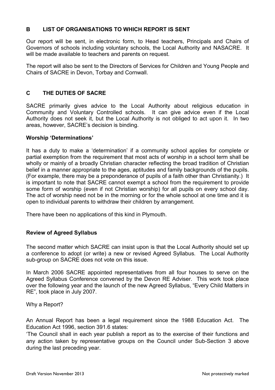#### **B LIST OF ORGANISATIONS TO WHICH REPORT IS SENT**

Our report will be sent, in electronic form, to Head teachers, Principals and Chairs of Governors of schools including voluntary schools, the Local Authority and NASACRE. It will be made available to teachers and parents on request.

The report will also be sent to the Directors of Services for Children and Young People and Chairs of SACRE in Devon, Torbay and Cornwall.

#### **C THE DUTIES OF SACRE**

SACRE primarily gives advice to the Local Authority about religious education in Community and Voluntary Controlled schools. It can give advice even if the Local Authority does not seek it, but the Local Authority is not obliged to act upon it. In two areas, however, SACRE's decision is binding.

#### **Worship 'Determinations'**

It has a duty to make a 'determination' if a community school applies for complete or partial exemption from the requirement that most acts of worship in a school term shall be wholly or mainly of a broadly Christian character reflecting the broad tradition of Christian belief in a manner appropriate to the ages, aptitudes and family backgrounds of the pupils. (For example, there may be a preponderance of pupils of a faith other than Christianity.) It is important to note that SACRE cannot exempt a school from the requirement to provide some form of worship (even if not Christian worship) for all pupils on every school day. The act of worship need not be in the morning or for the whole school at one time and it is open to individual parents to withdraw their children by arrangement.

There have been no applications of this kind in Plymouth.

#### **Review of Agreed Syllabus**

The second matter which SACRE can insist upon is that the Local Authority should set up a conference to adopt (or write) a new or revised Agreed Syllabus. The Local Authority sub-group on SACRE does not vote on this issue.

In March 2006 SACRE appointed representatives from all four houses to serve on the Agreed Syllabus Conference convened by the Devon RE Adviser. This work took place over the following year and the launch of the new Agreed Syllabus, "Every Child Matters in RE", took place in July 2007.

Why a Report?

An Annual Report has been a legal requirement since the 1988 Education Act. The Education Act 1996, section 391.6 states:

'The Council shall in each year publish a report as to the exercise of their functions and any action taken by representative groups on the Council under Sub-Section 3 above during the last preceding year.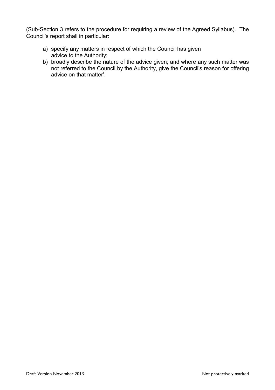(Sub-Section 3 refers to the procedure for requiring a review of the Agreed Syllabus). The Council's report shall in particular:

- a) specify any matters in respect of which the Council has given advice to the Authority;
- b) broadly describe the nature of the advice given; and where any such matter was not referred to the Council by the Authority, give the Council's reason for offering advice on that matter'.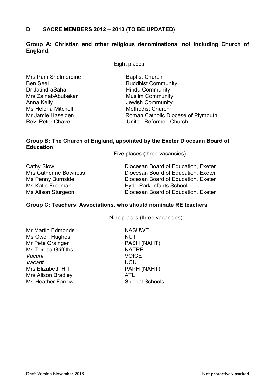#### **D SACRE MEMBERS 2012 – 2013 (TO BE UPDATED)**

#### **Group A: Christian and other religious denominations, not including Church of England.**

Eight places

Mrs Pam Shelmerdine Baptist Church Ben Seel Buddhist Community Dr JatindraSaha **Hindu Community** Mrs ZainabAbubakar Muslim Community Anna Kelly **Anna Kelly Anna Kelly Anna Kelly Jewish Community** Ms Helena Mitchell Methodist Church

Mr Jamie Haselden Roman Catholic Diocese of Plymouth Rev. Peter Chave **National Church** United Reformed Church

#### **Group B: The Church of England, appointed by the Exeter Diocesan Board of Education**

Five places (three vacancies)

| Cathy Slow                   | Diocesan Board of Education, Exeter |
|------------------------------|-------------------------------------|
| <b>Mrs Catherine Bowness</b> | Diocesan Board of Education, Exeter |
| Ms Penny Burnside            | Diocesan Board of Education, Exeter |
| Ms Katie Freeman             | <b>Hyde Park Infants School</b>     |
| Ms Alison Sturgeon           | Diocesan Board of Education, Exeter |

#### **Group C: Teachers' Associations, who should nominate RE teachers**

Nine places (three vacancies)

Mr Martin Edmonds NASUWT Ms Gwen Hughes NUT Mr Pete Grainger PASH (NAHT) Ms Teresa Griffiths NATRE **Vacant VOICE** *Vacant* UCU Mrs Elizabeth Hill PAPH (NAHT) Mrs Alison Bradley<br>
Ms Heather Farrow 
ATL Special Schools **Ms Heather Farrow**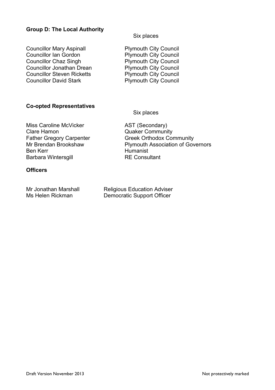#### **Group D: The Local Authority**

**Councillor Mary Aspinall Example 10 Plymouth City Council<br>Councillor Ian Gordon Council Plymouth City Council** Councillor Chaz Singh Plymouth City Council Councillor Jonathan Drean<br>
Councillor Steven Ricketts<br>
Plymouth City Council Councillor David Stark Plymouth City Council

Six places

Plymouth City Council Plymouth City Council

#### **Co-opted Representatives**

Six places

Miss Caroline McVicker AST (Secondary) Clare Hamon Quaker Community Barbara Wintersgill

#### **Officers**

Mr Jonathan Marshall Ms Helen Rickman

Father Gregory Carpenter Greek Orthodox Community Mr Brendan Brookshaw Plymouth Association of Governors<br>
Ren Kerr<br>
Humanist Humanist<br>RE Consultant

| <b>Religious Education Adviser</b> |
|------------------------------------|
| Democratic Support Officer         |